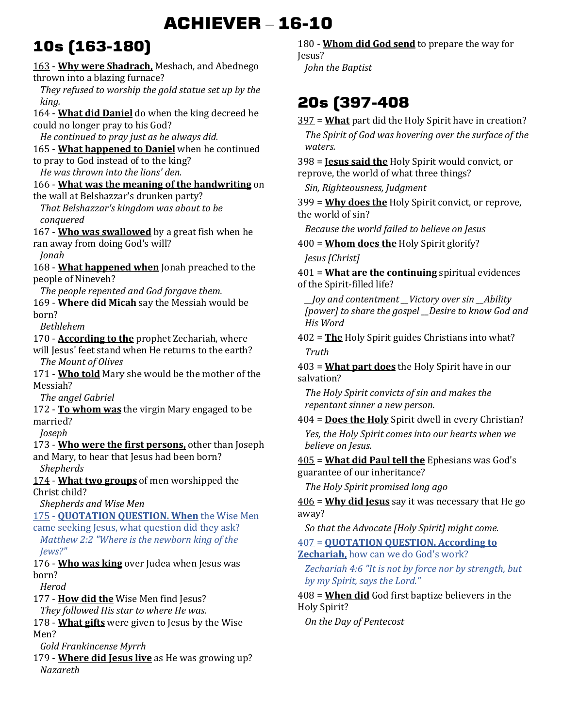# **ACHIEVER** – **16-10**

# **10s (163-180)**

163 - **Why were Shadrach,** Meshach, and Abednego thrown into a blazing furnace?

*They refused to worship the gold statue set up by the king.* 

164 - **What did Daniel** do when the king decreed he could no longer pray to his God?

*He continued to pray just as he always did.* 

165 - **What happened to Daniel** when he continued to pray to God instead of to the king?

*He was thrown into the lions' den.* 

166 - **What was the meaning of the handwriting** on the wall at Belshazzar's drunken party?

*That Belshazzar's kingdom was about to be conquered* 

167 - **Who was swallowed** by a great fish when he ran away from doing God's will?

*Jonah* 

168 - **What happened when** Jonah preached to the people of Nineveh?

*The people repented and God forgave them.*  169 - **Where did Micah** say the Messiah would be born?

*Bethlehem* 

170 - **According to the** prophet Zechariah, where will Jesus' feet stand when He returns to the earth?

*The Mount of Olives* 

171 - **Who told** Mary she would be the mother of the Messiah?

*The angel Gabriel* 

172 - **To whom was** the virgin Mary engaged to be married?

*Joseph* 

173 - **Who were the first persons,** other than Joseph and Mary, to hear that Jesus had been born? *Shepherds* 

174 - **What two groups** of men worshipped the Christ child?

*Shepherds and Wise Men* 

175 - **QUOTATION QUESTION. When** the Wise Men came seeking Jesus, what question did they ask?

*Matthew 2:2 "Where is the newborn king of the Jews?"*

176 - **Who was king** over Judea when Jesus was born?

*Herod* 

177 - **How did the** Wise Men find Jesus?

*They followed His star to where He was.* 

178 - **What gifts** were given to Jesus by the Wise Men?

*Gold Frankincense Myrrh* 

179 - **Where did Jesus live** as He was growing up? *Nazareth* 

180 - **Whom did God send** to prepare the way for Jesus?

*John the Baptist* 

## **20s (397-408**

397 = **What** part did the Holy Spirit have in creation? *The Spirit of God was hovering over the surface of the waters.* 

398 = **Jesus said the** Holy Spirit would convict, or reprove, the world of what three things?

*Sin, Righteousness, Judgment* 

399 = **Why does the** Holy Spirit convict, or reprove, the world of sin?

*Because the world failed to believe on Jesus* 

400 = **Whom does the** Holy Spirit glorify?

*Jesus [Christ]* 

401 = **What are the continuing** spiritual evidences of the Spirit-filled life?

*\_\_Joy and contentment \_\_Victory over sin \_\_Ability [power] to share the gospel \_\_Desire to know God and His Word* 

402 = **The** Holy Spirit guides Christians into what? *Truth* 

403 = **What part does** the Holy Spirit have in our salvation?

*The Holy Spirit convicts of sin and makes the repentant sinner a new person.* 

404 = **Does the Holy** Spirit dwell in every Christian? *Yes, the Holy Spirit comes into our hearts when we believe on Jesus.* 

405 = **What did Paul tell the** Ephesians was God's guarantee of our inheritance?

*The Holy Spirit promised long ago* 

406 = **Why did Jesus** say it was necessary that He go away?

*So that the Advocate [Holy Spirit] might come.* 

407 = **QUOTATION QUESTION. According to** 

**Zechariah,** how can we do God's work?

*Zechariah 4:6 "It is not by force nor by strength, but by my Spirit, says the Lord."*

408 = **When did** God first baptize believers in the Holy Spirit?

*On the Day of Pentecost*